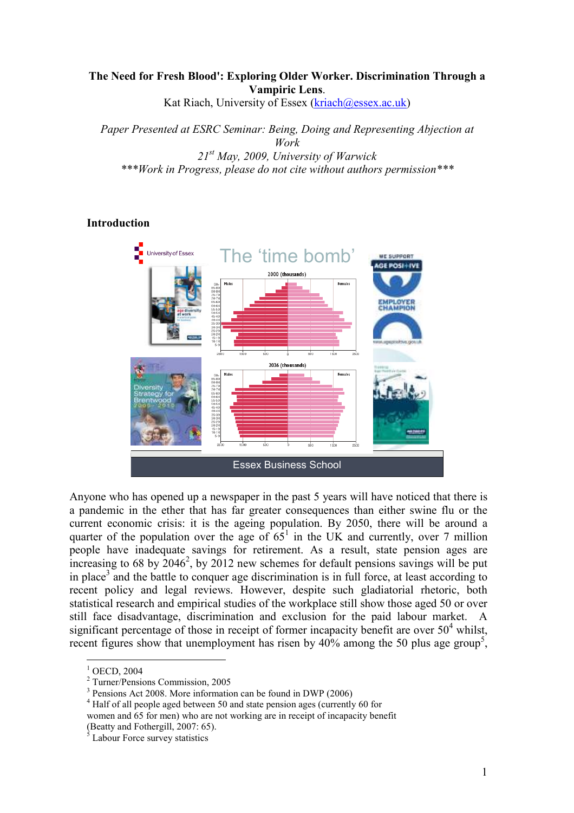# The Need for Fresh Blood': Exploring Older Worker. Discrimination Through a Vampiric Lens.

Kat Riach, University of Essex (kriach@essex.ac.uk)

Paper Presented at ESRC Seminar: Being, Doing and Representing Abjection at Work  $21^{st}$  May, 2009, University of Warwick \*\*\*Work in Progress, please do not cite without authors permission\*\*\*

# Introduction



Anyone who has opened up a newspaper in the past 5 years will have noticed that there is a pandemic in the ether that has far greater consequences than either swine flu or the current economic crisis: it is the ageing population. By 2050, there will be around a quarter of the population over the age of  $65<sup>1</sup>$  in the UK and currently, over 7 million people have inadequate savings for retirement. As a result, state pension ages are increasing to 68 by  $2046^2$ , by 2012 new schemes for default pensions savings will be put in place<sup>3</sup> and the battle to conquer age discrimination is in full force, at least according to recent policy and legal reviews. However, despite such gladiatorial rhetoric, both statistical research and empirical studies of the workplace still show those aged 50 or over still face disadvantage, discrimination and exclusion for the paid labour market. A significant percentage of those in receipt of former incapacity benefit are over  $50<sup>4</sup>$  whilst, recent figures show that unemployment has risen by  $40\%$  among the 50 plus age group<sup>5</sup>,

<sup>&</sup>lt;sup>1</sup> OECD, 2004

<sup>2</sup> Turner/Pensions Commission, 2005

<sup>&</sup>lt;sup>3</sup> Pensions Act 2008. More information can be found in DWP (2006)

<sup>&</sup>lt;sup>4</sup> Half of all people aged between 50 and state pension ages (currently 60 for

women and 65 for men) who are not working are in receipt of incapacity benefit

<sup>(</sup>Beatty and Fothergill, 2007: 65). Labour Force survey statistics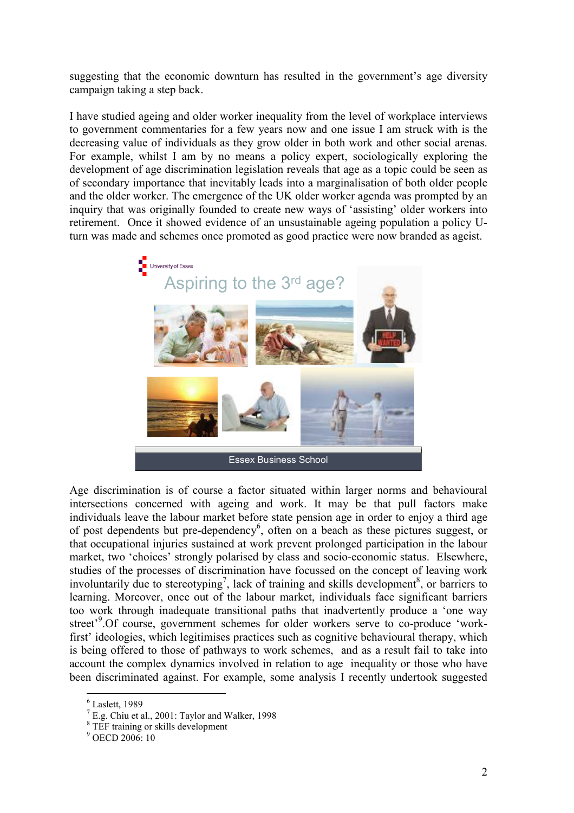suggesting that the economic downturn has resulted in the government's age diversity campaign taking a step back.

I have studied ageing and older worker inequality from the level of workplace interviews to government commentaries for a few years now and one issue I am struck with is the decreasing value of individuals as they grow older in both work and other social arenas. For example, whilst I am by no means a policy expert, sociologically exploring the development of age discrimination legislation reveals that age as a topic could be seen as of secondary importance that inevitably leads into a marginalisation of both older people and the older worker. The emergence of the UK older worker agenda was prompted by an inquiry that was originally founded to create new ways of 'assisting' older workers into retirement. Once it showed evidence of an unsustainable ageing population a policy Uturn was made and schemes once promoted as good practice were now branded as ageist.



Age discrimination is of course a factor situated within larger norms and behavioural intersections concerned with ageing and work. It may be that pull factors make individuals leave the labour market before state pension age in order to enjoy a third age of post dependents but pre-dependency<sup>6</sup>, often on a beach as these pictures suggest, or that occupational injuries sustained at work prevent prolonged participation in the labour market, two 'choices' strongly polarised by class and socio-economic status. Elsewhere, studies of the processes of discrimination have focussed on the concept of leaving work involuntarily due to stereotyping<sup>7</sup>, lack of training and skills development<sup>8</sup>, or barriers to learning. Moreover, once out of the labour market, individuals face significant barriers too work through inadequate transitional paths that inadvertently produce a 'one way street'<sup>9</sup>.Of course, government schemes for older workers serve to co-produce 'workfirst' ideologies, which legitimises practices such as cognitive behavioural therapy, which is being offered to those of pathways to work schemes, and as a result fail to take into account the complex dynamics involved in relation to age inequality or those who have been discriminated against. For example, some analysis I recently undertook suggested

<sup>6</sup> Laslett, 1989

 $<sup>7</sup>$  E.g. Chiu et al., 2001: Taylor and Walker, 1998</sup>

<sup>8</sup> TEF training or skills development

<sup>9</sup> OECD 2006: 10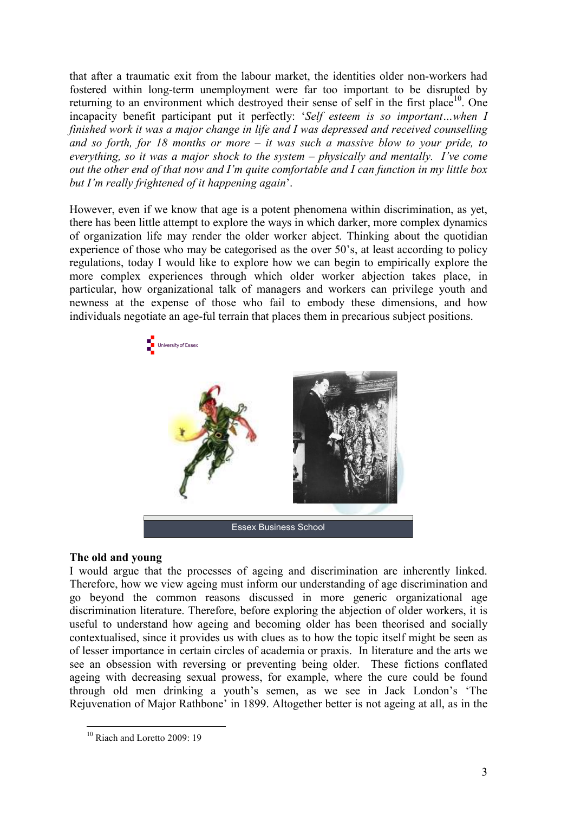that after a traumatic exit from the labour market, the identities older non-workers had fostered within long-term unemployment were far too important to be disrupted by returning to an environment which destroyed their sense of self in the first place<sup>10</sup>. One incapacity benefit participant put it perfectly: 'Self esteem is so important…when I finished work it was a major change in life and I was depressed and received counselling and so forth, for 18 months or more – it was such a massive blow to your pride, to everything, so it was a major shock to the system – physically and mentally. I've come out the other end of that now and I'm quite comfortable and I can function in my little box but I'm really frightened of it happening again'.

However, even if we know that age is a potent phenomena within discrimination, as yet, there has been little attempt to explore the ways in which darker, more complex dynamics of organization life may render the older worker abject. Thinking about the quotidian experience of those who may be categorised as the over 50's, at least according to policy regulations, today I would like to explore how we can begin to empirically explore the more complex experiences through which older worker abjection takes place, in particular, how organizational talk of managers and workers can privilege youth and newness at the expense of those who fail to embody these dimensions, and how individuals negotiate an age-ful terrain that places them in precarious subject positions.



# The old and young

I would argue that the processes of ageing and discrimination are inherently linked. Therefore, how we view ageing must inform our understanding of age discrimination and go beyond the common reasons discussed in more generic organizational age discrimination literature. Therefore, before exploring the abjection of older workers, it is useful to understand how ageing and becoming older has been theorised and socially contextualised, since it provides us with clues as to how the topic itself might be seen as of lesser importance in certain circles of academia or praxis. In literature and the arts we see an obsession with reversing or preventing being older. These fictions conflated ageing with decreasing sexual prowess, for example, where the cure could be found through old men drinking a youth's semen, as we see in Jack London's 'The Rejuvenation of Major Rathbone' in 1899. Altogether better is not ageing at all, as in the

 $\overline{a}$ <sup>10</sup> Riach and Loretto 2009: 19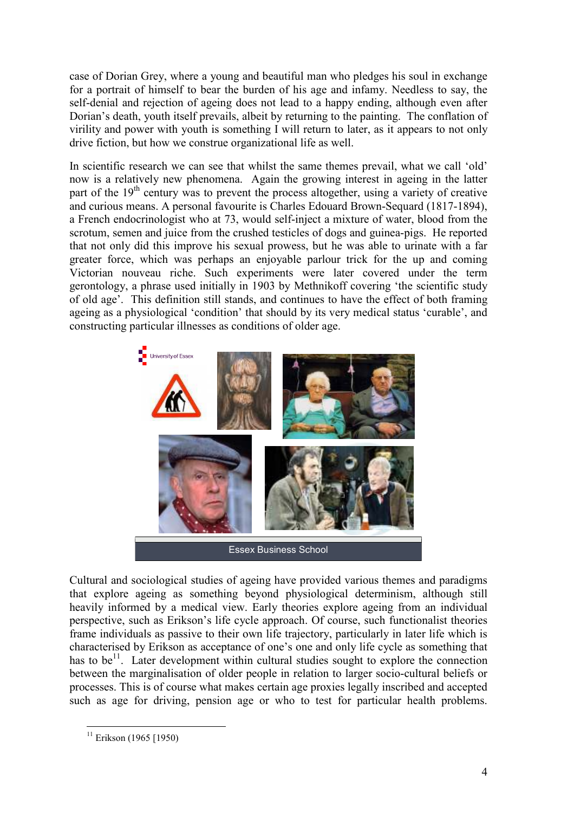case of Dorian Grey, where a young and beautiful man who pledges his soul in exchange for a portrait of himself to bear the burden of his age and infamy. Needless to say, the self-denial and rejection of ageing does not lead to a happy ending, although even after Dorian's death, youth itself prevails, albeit by returning to the painting. The conflation of virility and power with youth is something I will return to later, as it appears to not only drive fiction, but how we construe organizational life as well.

In scientific research we can see that whilst the same themes prevail, what we call 'old' now is a relatively new phenomena. Again the growing interest in ageing in the latter part of the 19<sup>th</sup> century was to prevent the process altogether, using a variety of creative and curious means. A personal favourite is Charles Edouard Brown-Sequard (1817-1894), a French endocrinologist who at 73, would self-inject a mixture of water, blood from the scrotum, semen and juice from the crushed testicles of dogs and guinea-pigs. He reported that not only did this improve his sexual prowess, but he was able to urinate with a far greater force, which was perhaps an enjoyable parlour trick for the up and coming Victorian nouveau riche. Such experiments were later covered under the term gerontology, a phrase used initially in 1903 by Methnikoff covering 'the scientific study of old age'. This definition still stands, and continues to have the effect of both framing ageing as a physiological 'condition' that should by its very medical status 'curable', and constructing particular illnesses as conditions of older age.



Cultural and sociological studies of ageing have provided various themes and paradigms that explore ageing as something beyond physiological determinism, although still heavily informed by a medical view. Early theories explore ageing from an individual perspective, such as Erikson's life cycle approach. Of course, such functionalist theories frame individuals as passive to their own life trajectory, particularly in later life which is characterised by Erikson as acceptance of one's one and only life cycle as something that has to be<sup>11</sup>. Later development within cultural studies sought to explore the connection between the marginalisation of older people in relation to larger socio-cultural beliefs or processes. This is of course what makes certain age proxies legally inscribed and accepted such as age for driving, pension age or who to test for particular health problems.

 $\overline{a}$  $11$  Erikson (1965 [1950)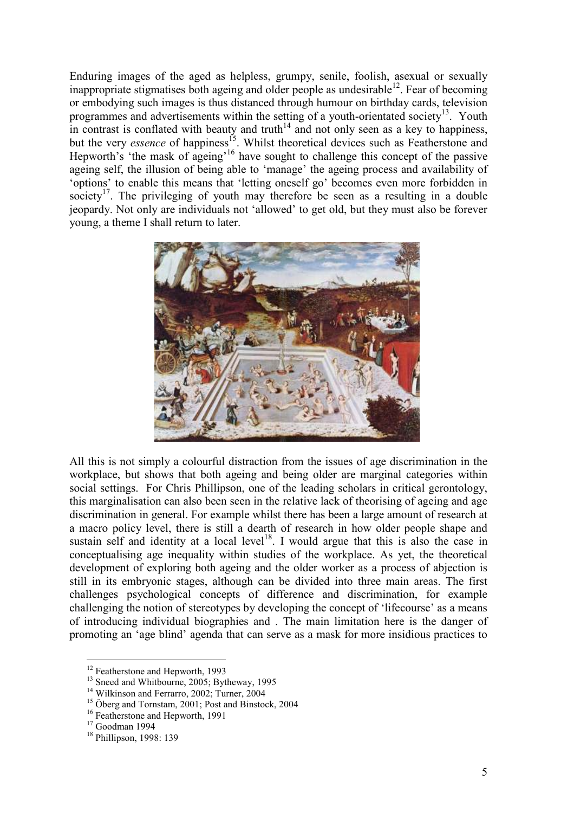Enduring images of the aged as helpless, grumpy, senile, foolish, asexual or sexually inappropriate stigmatises both ageing and older people as undesirable<sup>12</sup>. Fear of becoming or embodying such images is thus distanced through humour on birthday cards, television programmes and advertisements within the setting of a youth-orientated society<sup>13</sup>. Youth in contrast is conflated with beauty and truth<sup>14</sup> and not only seen as a key to happiness, but the very *essence* of happiness<sup>15</sup>. Whilst theoretical devices such as Featherstone and Hepworth's 'the mask of ageing'<sup>16</sup> have sought to challenge this concept of the passive ageing self, the illusion of being able to 'manage' the ageing process and availability of 'options' to enable this means that 'letting oneself go' becomes even more forbidden in society<sup>17</sup>. The privileging of youth may therefore be seen as a resulting in a double jeopardy. Not only are individuals not 'allowed' to get old, but they must also be forever young, a theme I shall return to later.



All this is not simply a colourful distraction from the issues of age discrimination in the workplace, but shows that both ageing and being older are marginal categories within social settings. For Chris Phillipson, one of the leading scholars in critical gerontology, this marginalisation can also been seen in the relative lack of theorising of ageing and age discrimination in general. For example whilst there has been a large amount of research at a macro policy level, there is still a dearth of research in how older people shape and sustain self and identity at a local level<sup>18</sup>. I would argue that this is also the case in conceptualising age inequality within studies of the workplace. As yet, the theoretical development of exploring both ageing and the older worker as a process of abjection is still in its embryonic stages, although can be divided into three main areas. The first challenges psychological concepts of difference and discrimination, for example challenging the notion of stereotypes by developing the concept of 'lifecourse' as a means of introducing individual biographies and . The main limitation here is the danger of promoting an 'age blind' agenda that can serve as a mask for more insidious practices to

<sup>&</sup>lt;sup>12</sup> Featherstone and Hepworth, 1993

<sup>&</sup>lt;sup>13</sup> Sneed and Whitbourne, 2005; Bytheway, 1995

<sup>&</sup>lt;sup>14</sup> Wilkinson and Ferrarro, 2002; Turner, 2004

<sup>&</sup>lt;sup>15</sup> Öberg and Tornstam,  $2001$ : Post and Binstock, 2004

<sup>&</sup>lt;sup>16</sup> Featherstone and Hepworth, 1991

<sup>&</sup>lt;sup>17</sup> Goodman 1994

<sup>&</sup>lt;sup>18</sup> Phillipson, 1998: 139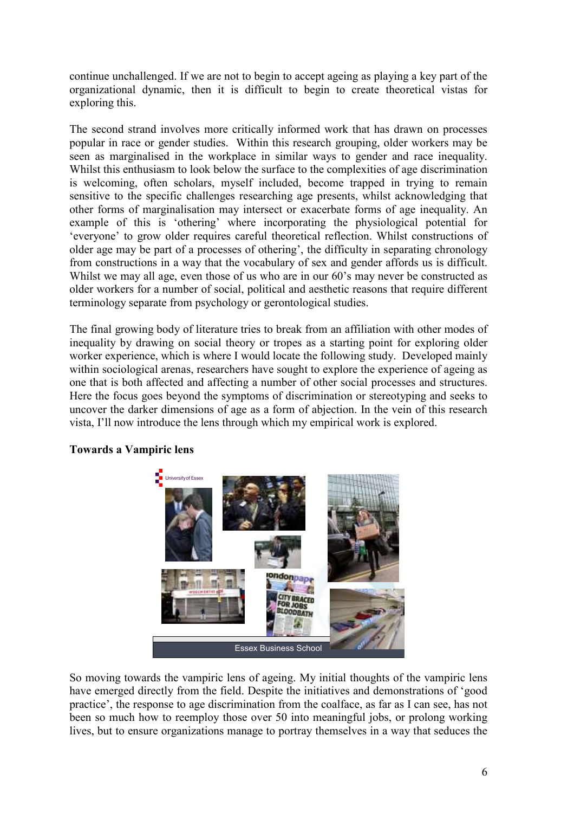continue unchallenged. If we are not to begin to accept ageing as playing a key part of the organizational dynamic, then it is difficult to begin to create theoretical vistas for exploring this.

The second strand involves more critically informed work that has drawn on processes popular in race or gender studies. Within this research grouping, older workers may be seen as marginalised in the workplace in similar ways to gender and race inequality. Whilst this enthusiasm to look below the surface to the complexities of age discrimination is welcoming, often scholars, myself included, become trapped in trying to remain sensitive to the specific challenges researching age presents, whilst acknowledging that other forms of marginalisation may intersect or exacerbate forms of age inequality. An example of this is 'othering' where incorporating the physiological potential for 'everyone' to grow older requires careful theoretical reflection. Whilst constructions of older age may be part of a processes of othering', the difficulty in separating chronology from constructions in a way that the vocabulary of sex and gender affords us is difficult. Whilst we may all age, even those of us who are in our 60's may never be constructed as older workers for a number of social, political and aesthetic reasons that require different terminology separate from psychology or gerontological studies.

The final growing body of literature tries to break from an affiliation with other modes of inequality by drawing on social theory or tropes as a starting point for exploring older worker experience, which is where I would locate the following study. Developed mainly within sociological arenas, researchers have sought to explore the experience of ageing as one that is both affected and affecting a number of other social processes and structures. Here the focus goes beyond the symptoms of discrimination or stereotyping and seeks to uncover the darker dimensions of age as a form of abjection. In the vein of this research vista, I'll now introduce the lens through which my empirical work is explored.



# Towards a Vampiric lens

So moving towards the vampiric lens of ageing. My initial thoughts of the vampiric lens have emerged directly from the field. Despite the initiatives and demonstrations of 'good practice', the response to age discrimination from the coalface, as far as I can see, has not been so much how to reemploy those over 50 into meaningful jobs, or prolong working lives, but to ensure organizations manage to portray themselves in a way that seduces the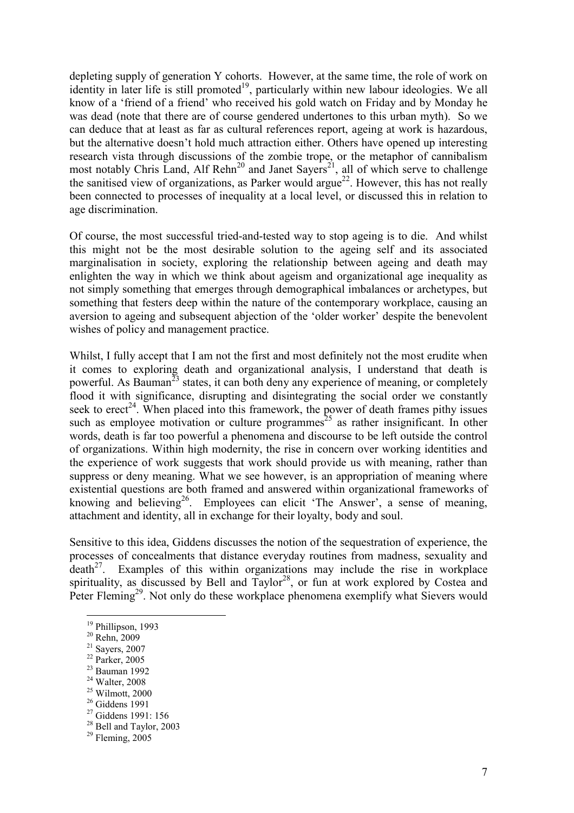depleting supply of generation Y cohorts. However, at the same time, the role of work on identity in later life is still promoted<sup>19</sup>, particularly within new labour ideologies. We all know of a 'friend of a friend' who received his gold watch on Friday and by Monday he was dead (note that there are of course gendered undertones to this urban myth). So we can deduce that at least as far as cultural references report, ageing at work is hazardous, but the alternative doesn't hold much attraction either. Others have opened up interesting research vista through discussions of the zombie trope, or the metaphor of cannibalism most notably Chris Land, Alf  $Rehn^{20}$  and Janet Sayers<sup>21</sup>, all of which serve to challenge the sanitised view of organizations, as Parker would argue<sup>22</sup>. However, this has not really been connected to processes of inequality at a local level, or discussed this in relation to age discrimination.

Of course, the most successful tried-and-tested way to stop ageing is to die. And whilst this might not be the most desirable solution to the ageing self and its associated marginalisation in society, exploring the relationship between ageing and death may enlighten the way in which we think about ageism and organizational age inequality as not simply something that emerges through demographical imbalances or archetypes, but something that festers deep within the nature of the contemporary workplace, causing an aversion to ageing and subsequent abjection of the 'older worker' despite the benevolent wishes of policy and management practice.

Whilst, I fully accept that I am not the first and most definitely not the most erudite when it comes to exploring death and organizational analysis, I understand that death is powerful. As Bauman<sup>23</sup> states, it can both deny any experience of meaning, or completely flood it with significance, disrupting and disintegrating the social order we constantly seek to  $e^2$ <sup>4</sup>. When placed into this framework, the power of death frames pithy issues such as employee motivation or culture programmes<sup>25</sup> as rather insignificant. In other words, death is far too powerful a phenomena and discourse to be left outside the control of organizations. Within high modernity, the rise in concern over working identities and the experience of work suggests that work should provide us with meaning, rather than suppress or deny meaning. What we see however, is an appropriation of meaning where existential questions are both framed and answered within organizational frameworks of knowing and believing<sup>26</sup>. Employees can elicit 'The Answer', a sense of meaning, attachment and identity, all in exchange for their loyalty, body and soul.

Sensitive to this idea, Giddens discusses the notion of the sequestration of experience, the processes of concealments that distance everyday routines from madness, sexuality and  $death<sup>27</sup>$ . Examples of this within organizations may include the rise in workplace spirituality, as discussed by Bell and  $Taylor^{28}$ , or fun at work explored by Costea and Peter Fleming<sup>29</sup>. Not only do these workplace phenomena exemplify what Sievers would

 $\overline{a}$ 

- $22$  Parker, 2005 <sup>23</sup> Bauman 1992
- 

 $25$  Wilmott, 2000

<sup>&</sup>lt;sup>19</sup> Phillipson, 1993

<sup>20</sup> Rehn, 2009

<sup>21</sup> Sayers, 2007

<sup>24</sup> Walter, 2008

<sup>26</sup> Giddens 1991

<sup>27</sup> Giddens 1991: 156 <sup>28</sup> Bell and Taylor, 2003

 $29$  Fleming, 2005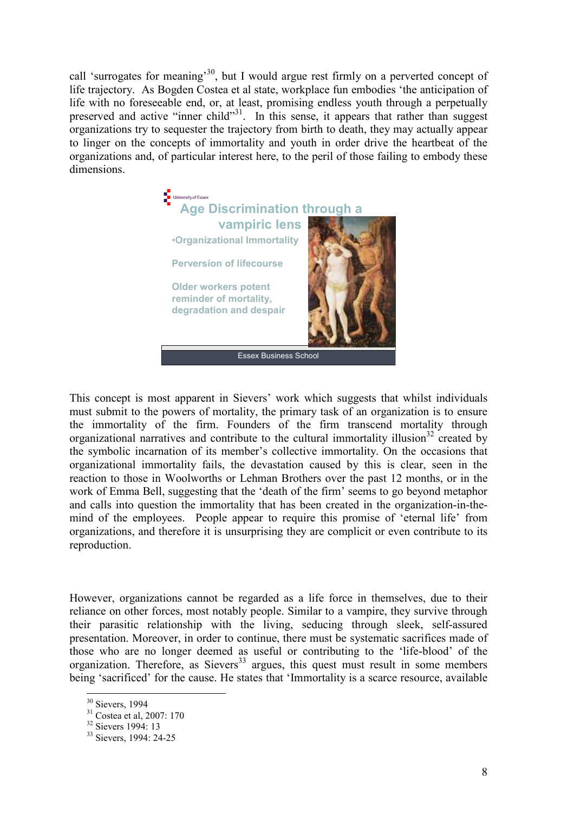call 'surrogates for meaning'<sup>30</sup>, but I would argue rest firmly on a perverted concept of life trajectory. As Bogden Costea et al state, workplace fun embodies 'the anticipation of life with no foreseeable end, or, at least, promising endless youth through a perpetually preserved and active "inner child"<sup>31</sup>. In this sense, it appears that rather than suggest organizations try to sequester the trajectory from birth to death, they may actually appear to linger on the concepts of immortality and youth in order drive the heartbeat of the organizations and, of particular interest here, to the peril of those failing to embody these dimensions.



This concept is most apparent in Sievers' work which suggests that whilst individuals must submit to the powers of mortality, the primary task of an organization is to ensure the immortality of the firm. Founders of the firm transcend mortality through organizational narratives and contribute to the cultural immortality illusion<sup>32</sup> created by the symbolic incarnation of its member's collective immortality. On the occasions that organizational immortality fails, the devastation caused by this is clear, seen in the reaction to those in Woolworths or Lehman Brothers over the past 12 months, or in the work of Emma Bell, suggesting that the 'death of the firm' seems to go beyond metaphor and calls into question the immortality that has been created in the organization-in-themind of the employees. People appear to require this promise of 'eternal life' from organizations, and therefore it is unsurprising they are complicit or even contribute to its reproduction.

However, organizations cannot be regarded as a life force in themselves, due to their reliance on other forces, most notably people. Similar to a vampire, they survive through their parasitic relationship with the living, seducing through sleek, self-assured presentation. Moreover, in order to continue, there must be systematic sacrifices made of those who are no longer deemed as useful or contributing to the 'life-blood' of the organization. Therefore, as Sievers<sup>33</sup> argues, this quest must result in some members being 'sacrificed' for the cause. He states that 'Immortality is a scarce resource, available

<sup>&</sup>lt;sup>30</sup> Sievers, 1994

 $31$  Costea et al, 2007: 170

<sup>&</sup>lt;sup>32</sup> Sievers 1994: 13

<sup>&</sup>lt;sup>33</sup> Sievers, 1994: 24-25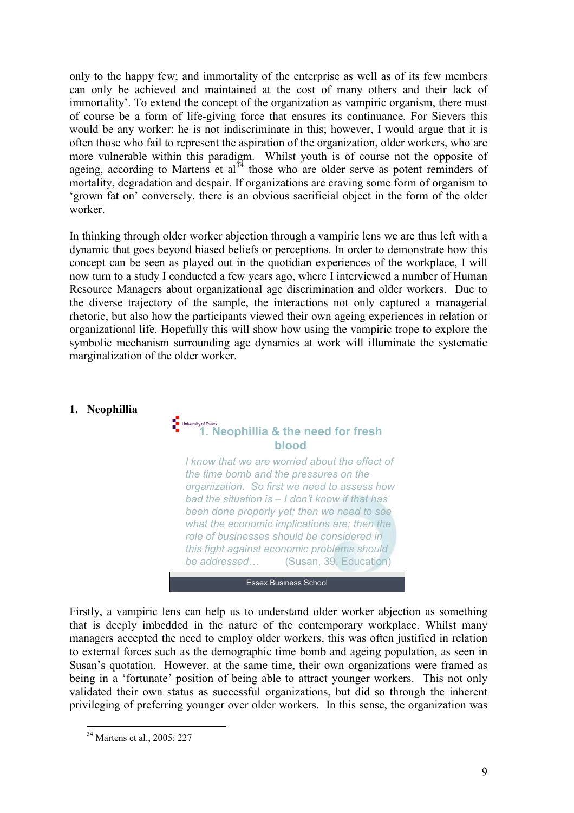only to the happy few; and immortality of the enterprise as well as of its few members can only be achieved and maintained at the cost of many others and their lack of immortality'. To extend the concept of the organization as vampiric organism, there must of course be a form of life-giving force that ensures its continuance. For Sievers this would be any worker: he is not indiscriminate in this; however, I would argue that it is often those who fail to represent the aspiration of the organization, older workers, who are more vulnerable within this paradigm. Whilst youth is of course not the opposite of ageing, according to Martens et  $al^{34}$  those who are older serve as potent reminders of mortality, degradation and despair. If organizations are craving some form of organism to 'grown fat on' conversely, there is an obvious sacrificial object in the form of the older worker.

In thinking through older worker abjection through a vampiric lens we are thus left with a dynamic that goes beyond biased beliefs or perceptions. In order to demonstrate how this concept can be seen as played out in the quotidian experiences of the workplace, I will now turn to a study I conducted a few years ago, where I interviewed a number of Human Resource Managers about organizational age discrimination and older workers. Due to the diverse trajectory of the sample, the interactions not only captured a managerial rhetoric, but also how the participants viewed their own ageing experiences in relation or organizational life. Hopefully this will show how using the vampiric trope to explore the symbolic mechanism surrounding age dynamics at work will illuminate the systematic marginalization of the older worker.

### 1. Neophillia

# **1.** University of Essex<br>
1. Neophillia & the need for fresh blood

I know that we are worried about the effect of the time bomb and the pressures on the organization. So first we need to assess how bad the situation is – I don't know if that has been done properly yet; then we need to see what the economic implications are; then the role of businesses should be considered in this fight against economic problems should be addressed... (Susan, 39, Education)

#### **Essex Business School**

Firstly, a vampiric lens can help us to understand older worker abjection as something that is deeply imbedded in the nature of the contemporary workplace. Whilst many managers accepted the need to employ older workers, this was often justified in relation to external forces such as the demographic time bomb and ageing population, as seen in Susan's quotation. However, at the same time, their own organizations were framed as being in a 'fortunate' position of being able to attract younger workers. This not only validated their own status as successful organizations, but did so through the inherent privileging of preferring younger over older workers. In this sense, the organization was

 $\overline{a}$ <sup>34</sup> Martens et al., 2005: 227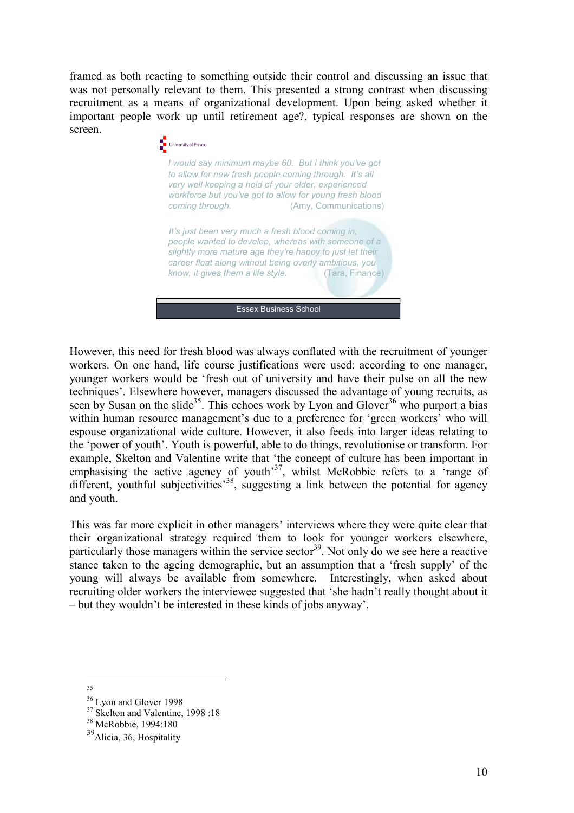framed as both reacting to something outside their control and discussing an issue that was not personally relevant to them. This presented a strong contrast when discussing recruitment as a means of organizational development. Upon being asked whether it important people work up until retirement age?, typical responses are shown on the screen.



However, this need for fresh blood was always conflated with the recruitment of younger workers. On one hand, life course justifications were used: according to one manager, younger workers would be 'fresh out of university and have their pulse on all the new techniques'. Elsewhere however, managers discussed the advantage of young recruits, as seen by Susan on the slide<sup>35</sup>. This echoes work by Lyon and Glover<sup>36</sup> who purport a bias within human resource management's due to a preference for 'green workers' who will espouse organizational wide culture. However, it also feeds into larger ideas relating to the 'power of youth'. Youth is powerful, able to do things, revolutionise or transform. For example, Skelton and Valentine write that 'the concept of culture has been important in emphasising the active agency of youth<sup>37</sup>, whilst McRobbie refers to a 'range of different, youthful subjectivities<sup>38</sup>, suggesting a link between the potential for agency and youth.

This was far more explicit in other managers' interviews where they were quite clear that their organizational strategy required them to look for younger workers elsewhere, particularly those managers within the service sector<sup>39</sup>. Not only do we see here a reactive stance taken to the ageing demographic, but an assumption that a 'fresh supply' of the young will always be available from somewhere. Interestingly, when asked about recruiting older workers the interviewee suggested that 'she hadn't really thought about it – but they wouldn't be interested in these kinds of jobs anyway'.

<sup>35</sup>

<sup>&</sup>lt;sup>36</sup> Lyon and Glover 1998

<sup>&</sup>lt;sup>37</sup> Skelton and Valentine, 1998 :18

<sup>38</sup> McRobbie, 1994:180

<sup>&</sup>lt;sup>39</sup>Alicia, 36, Hospitality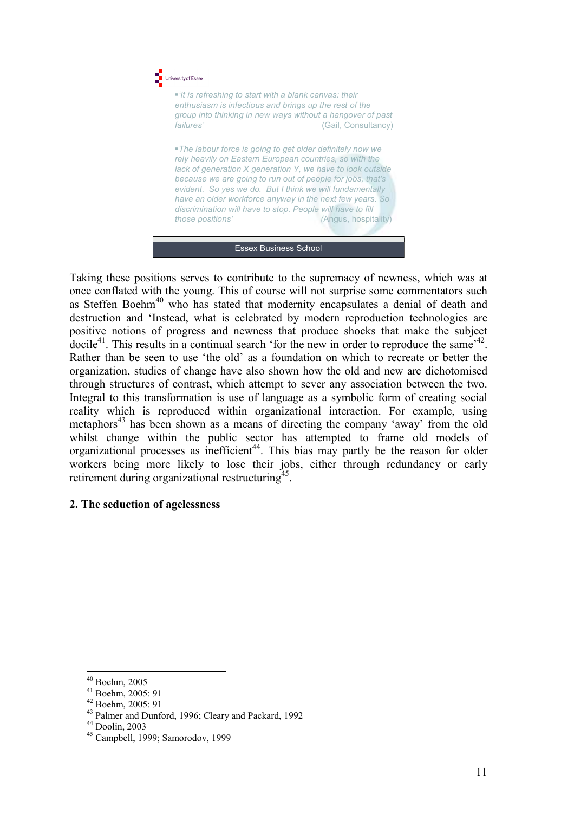

Essex Business School

Taking these positions serves to contribute to the supremacy of newness, which was at once conflated with the young. This of course will not surprise some commentators such as Steffen Boehm<sup>40</sup> who has stated that modernity encapsulates a denial of death and destruction and 'Instead, what is celebrated by modern reproduction technologies are positive notions of progress and newness that produce shocks that make the subject docile<sup>41</sup>. This results in a continual search 'for the new in order to reproduce the same<sup> $142$ </sup>. Rather than be seen to use 'the old' as a foundation on which to recreate or better the organization, studies of change have also shown how the old and new are dichotomised through structures of contrast, which attempt to sever any association between the two. Integral to this transformation is use of language as a symbolic form of creating social reality which is reproduced within organizational interaction. For example, using metaphors<sup>43</sup> has been shown as a means of directing the company 'away' from the old whilst change within the public sector has attempted to frame old models of organizational processes as inefficient<sup>44</sup>. This bias may partly be the reason for older workers being more likely to lose their jobs, either through redundancy or early retirement during organizational restructuring<sup>45</sup>.

# 2. The seduction of agelessness

 $\overline{a}$ <sup>40</sup> Boehm, 2005

<sup>41</sup> Boehm, 2005: 91

<sup>42</sup> Boehm, 2005: 91

<sup>43</sup> Palmer and Dunford, 1996; Cleary and Packard, 1992

<sup>44</sup> Doolin, 2003

<sup>45</sup> Campbell, 1999; Samorodov, 1999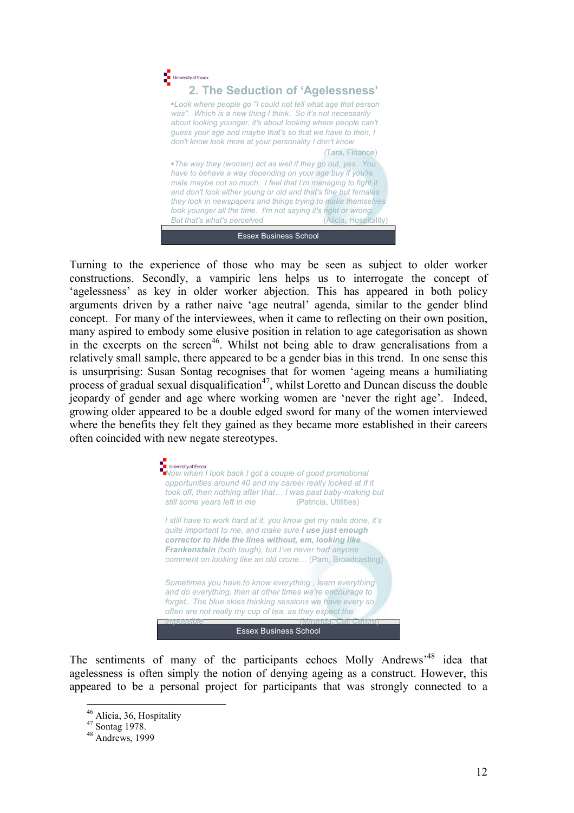

Turning to the experience of those who may be seen as subject to older worker constructions. Secondly, a vampiric lens helps us to interrogate the concept of 'agelessness' as key in older worker abjection. This has appeared in both policy arguments driven by a rather naive 'age neutral' agenda, similar to the gender blind concept. For many of the interviewees, when it came to reflecting on their own position, many aspired to embody some elusive position in relation to age categorisation as shown in the excerpts on the screen<sup>46</sup>. Whilst not being able to draw generalisations from a relatively small sample, there appeared to be a gender bias in this trend. In one sense this is unsurprising: Susan Sontag recognises that for women 'ageing means a humiliating process of gradual sexual disqualification<sup>47</sup>, whilst Loretto and Duncan discuss the double jeopardy of gender and age where working women are 'never the right age'. Indeed, growing older appeared to be a double edged sword for many of the women interviewed where the benefits they felt they gained as they became more established in their careers often coincided with new negate stereotypes.

> **Essex Business School** Now when I look back I got a couple of good promotional<br>Now when I look back I got a couple of good promotional opportunities around 40 and my career really looked at if it took off, then nothing after that... I was past baby-making but still some years left in me still some years left in me I still have to work hard at it, you know get my nails done, it's quite important to me, and make sure I use just enough corrector to hide the lines without, em, looking like Frankenstein (both laugh), but I've never had anyone comment on looking like an old crone… (Pam, Broadcasting) Sometimes you have to know everything , learn everything and do everything, then at other times we're encourage to forget.. The blue skies thinking sessions we have every so often are not really my cup of tea, as they expect the impossible (Miranda, Call Centre)

The sentiments of many of the participants echoes Molly Andrews<sup>48</sup> idea that agelessness is often simply the notion of denying ageing as a construct. However, this appeared to be a personal project for participants that was strongly connected to a

<sup>&</sup>lt;sup>46</sup> Alicia, 36, Hospitality

<sup>47</sup> Sontag 1978.

<sup>48</sup> Andrews, 1999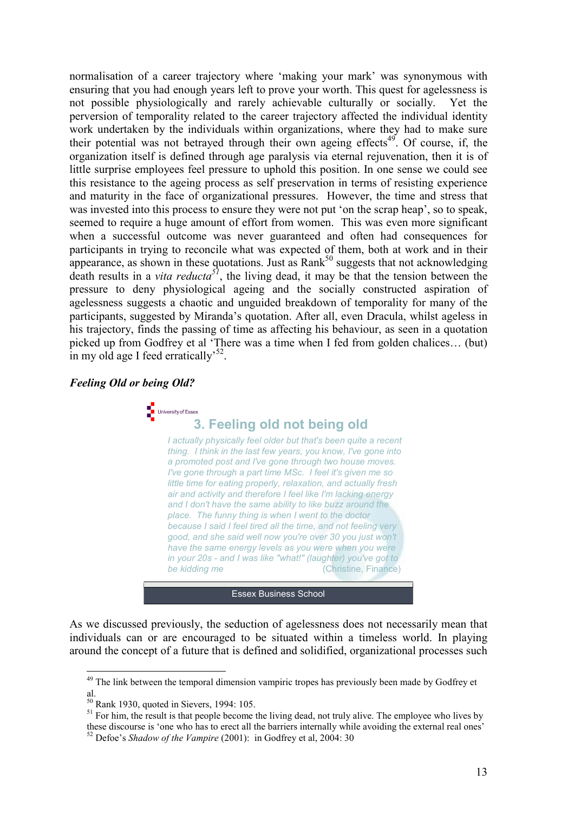normalisation of a career trajectory where 'making your mark' was synonymous with ensuring that you had enough years left to prove your worth. This quest for agelessness is not possible physiologically and rarely achievable culturally or socially. Yet the perversion of temporality related to the career trajectory affected the individual identity work undertaken by the individuals within organizations, where they had to make sure their potential was not betrayed through their own ageing effects<sup>49</sup>. Of course, if, the organization itself is defined through age paralysis via eternal rejuvenation, then it is of little surprise employees feel pressure to uphold this position. In one sense we could see this resistance to the ageing process as self preservation in terms of resisting experience and maturity in the face of organizational pressures. However, the time and stress that was invested into this process to ensure they were not put 'on the scrap heap', so to speak, seemed to require a huge amount of effort from women. This was even more significant when a successful outcome was never guaranteed and often had consequences for participants in trying to reconcile what was expected of them, both at work and in their appearance, as shown in these quotations. Just as  $Rank^{50}$  suggests that not acknowledging death results in a *vita reducta*<sup>51</sup>, the living dead, it may be that the tension between the pressure to deny physiological ageing and the socially constructed aspiration of agelessness suggests a chaotic and unguided breakdown of temporality for many of the participants, suggested by Miranda's quotation. After all, even Dracula, whilst ageless in his trajectory, finds the passing of time as affecting his behaviour, as seen in a quotation picked up from Godfrey et al 'There was a time when I fed from golden chalices… (but) in my old age I feed erratically<sup>52</sup>.

#### Feeling Old or being Old?



# **For University of Essex**<br> **3. Feeling old not being old**

I actually physically feel older but that's been quite a recent thing. I think in the last few years, you know, I've gone into a promoted post and I've gone through two house moves. I've gone through a part time MSc. I feel it's given me so little time for eating properly, relaxation, and actually fresh air and activity and therefore I feel like I'm lacking energy and I don't have the same ability to like buzz around the place. The funny thing is when I went to the doctor because I said I feel tired all the time, and not feeling very good, and she said well now you're over 30 you just won't have the same energy levels as you were when you were in your 20s - and I was like "what!" (laughter) you've got to be kidding me (Christine, Finance)

**Essex Business School** 

As we discussed previously, the seduction of agelessness does not necessarily mean that individuals can or are encouraged to be situated within a timeless world. In playing around the concept of a future that is defined and solidified, organizational processes such

<sup>&</sup>lt;sup>49</sup> The link between the temporal dimension vampiric tropes has previously been made by Godfrey et al.

 $50$  Rank 1930, quoted in Sievers, 1994: 105.

 $51$  For him, the result is that people become the living dead, not truly alive. The employee who lives by these discourse is 'one who has to erect all the barriers internally while avoiding the external real ones'

 $52$  Defoe's Shadow of the Vampire (2001): in Godfrey et al, 2004: 30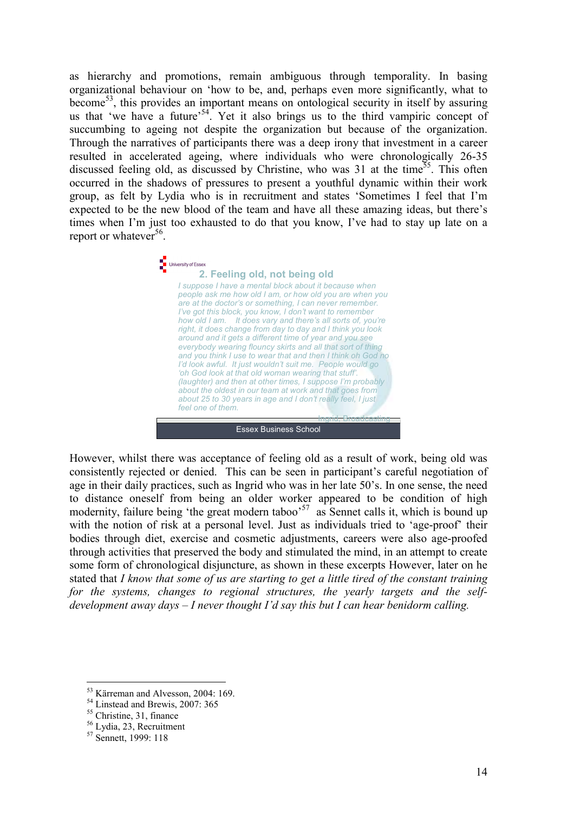as hierarchy and promotions, remain ambiguous through temporality. In basing organizational behaviour on 'how to be, and, perhaps even more significantly, what to become<sup>53</sup>, this provides an important means on ontological security in itself by assuring us that 'we have a future'<sup>54</sup>. Yet it also brings us to the third vampiric concept of succumbing to ageing not despite the organization but because of the organization. Through the narratives of participants there was a deep irony that investment in a career resulted in accelerated ageing, where individuals who were chronologically 26-35 discussed feeling old, as discussed by Christine, who was  $31$  at the time<sup>55</sup>. This often occurred in the shadows of pressures to present a youthful dynamic within their work group, as felt by Lydia who is in recruitment and states 'Sometimes I feel that I'm expected to be the new blood of the team and have all these amazing ideas, but there's times when I'm just too exhausted to do that you know, I've had to stay up late on a report or whatever<sup>56</sup>.



However, whilst there was acceptance of feeling old as a result of work, being old was consistently rejected or denied. This can be seen in participant's careful negotiation of age in their daily practices, such as Ingrid who was in her late 50's. In one sense, the need to distance oneself from being an older worker appeared to be condition of high modernity, failure being 'the great modern taboo'<sup>57</sup> as Sennet calls it, which is bound up with the notion of risk at a personal level. Just as individuals tried to 'age-proof' their bodies through diet, exercise and cosmetic adjustments, careers were also age-proofed through activities that preserved the body and stimulated the mind, in an attempt to create some form of chronological disjuncture, as shown in these excerpts However, later on he stated that I know that some of us are starting to get a little tired of the constant training for the systems, changes to regional structures, the yearly targets and the selfdevelopment away days  $-I$  never thought I'd say this but I can hear benidorm calling.

<sup>&</sup>lt;sup>53</sup> Kärreman and Alvesson, 2004: 169.

<sup>54</sup> Linstead and Brewis, 2007: 365

<sup>&</sup>lt;sup>55</sup> Christine, 31, finance

<sup>56</sup> Lydia, 23, Recruitment

<sup>&</sup>lt;sup>57</sup> Sennett, 1999: 118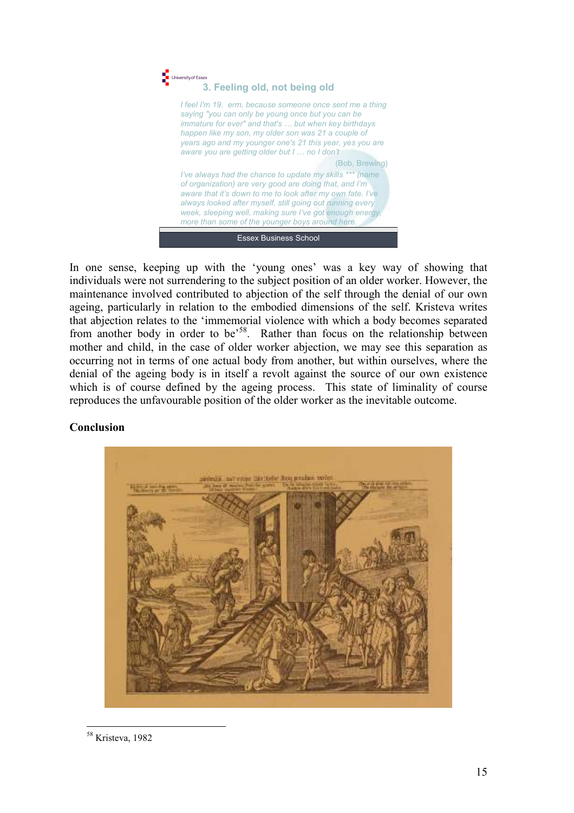

In one sense, keeping up with the 'young ones' was a key way of showing that individuals were not surrendering to the subject position of an older worker. However, the maintenance involved contributed to abjection of the self through the denial of our own ageing, particularly in relation to the embodied dimensions of the self. Kristeva writes that abjection relates to the 'immemorial violence with which a body becomes separated from another body in order to be<sup>58</sup>. Rather than focus on the relationship between mother and child, in the case of older worker abjection, we may see this separation as occurring not in terms of one actual body from another, but within ourselves, where the denial of the ageing body is in itself a revolt against the source of our own existence which is of course defined by the ageing process. This state of liminality of course reproduces the unfavourable position of the older worker as the inevitable outcome.

# Conclusion



 $\overline{a}$ <sup>58</sup> Kristeva, 1982